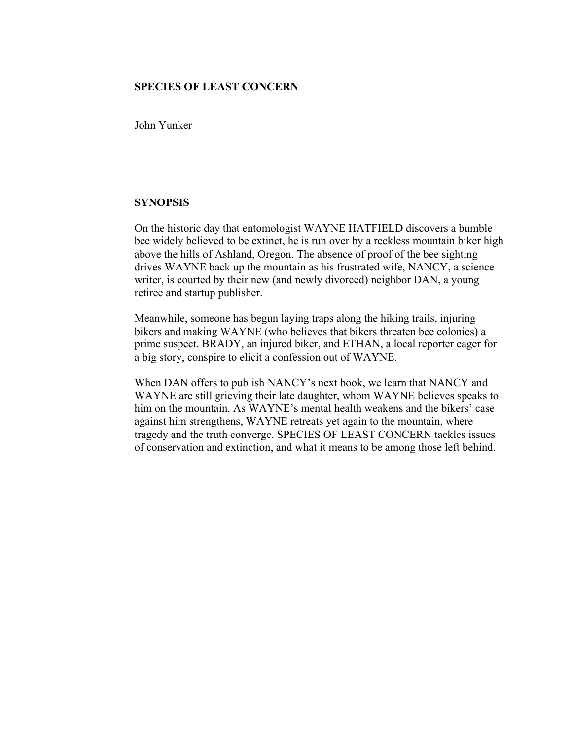## **SPECIES OF LEAST CONCERN**

John Yunker

## **SYNOPSIS**

On the historic day that entomologist WAYNE HATFIELD discovers a bumble bee widely believed to be extinct, he is run over by a reckless mountain biker high above the hills of Ashland, Oregon. The absence of proof of the bee sighting drives WAYNE back up the mountain as his frustrated wife, NANCY, a science writer, is courted by their new (and newly divorced) neighbor DAN, a young retiree and startup publisher.

Meanwhile, someone has begun laying traps along the hiking trails, injuring bikers and making WAYNE (who believes that bikers threaten bee colonies) a prime suspect. BRADY, an injured biker, and ETHAN, a local reporter eager for a big story, conspire to elicit a confession out of WAYNE.

When DAN offers to publish NANCY's next book, we learn that NANCY and WAYNE are still grieving their late daughter, whom WAYNE believes speaks to him on the mountain. As WAYNE's mental health weakens and the bikers' case against him strengthens, WAYNE retreats yet again to the mountain, where tragedy and the truth converge. SPECIES OF LEAST CONCERN tackles issues of conservation and extinction, and what it means to be among those left behind.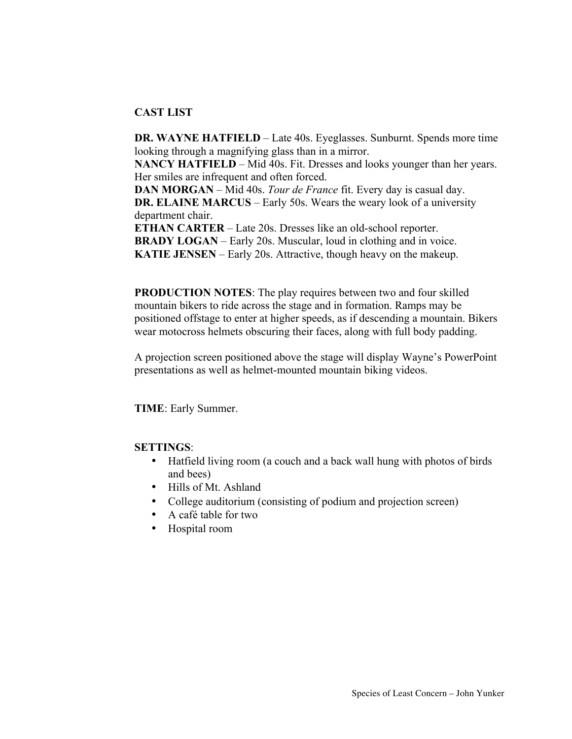# **CAST LIST**

**DR. WAYNE HATFIELD** – Late 40s. Eyeglasses. Sunburnt. Spends more time looking through a magnifying glass than in a mirror.

**NANCY HATFIELD** – Mid 40s. Fit. Dresses and looks younger than her years. Her smiles are infrequent and often forced.

**DAN MORGAN** – Mid 40s. *Tour de France* fit. Every day is casual day. **DR. ELAINE MARCUS** – Early 50s. Wears the weary look of a university department chair.

**ETHAN CARTER** – Late 20s. Dresses like an old-school reporter. **BRADY LOGAN** – Early 20s. Muscular, loud in clothing and in voice. **KATIE JENSEN** – Early 20s. Attractive, though heavy on the makeup.

**PRODUCTION NOTES**: The play requires between two and four skilled mountain bikers to ride across the stage and in formation. Ramps may be positioned offstage to enter at higher speeds, as if descending a mountain. Bikers wear motocross helmets obscuring their faces, along with full body padding.

A projection screen positioned above the stage will display Wayne's PowerPoint presentations as well as helmet-mounted mountain biking videos.

**TIME**: Early Summer.

## **SETTINGS**:

- Hatfield living room (a couch and a back wall hung with photos of birds and bees)
- Hills of Mt. Ashland
- College auditorium (consisting of podium and projection screen)
- A café table for two
- Hospital room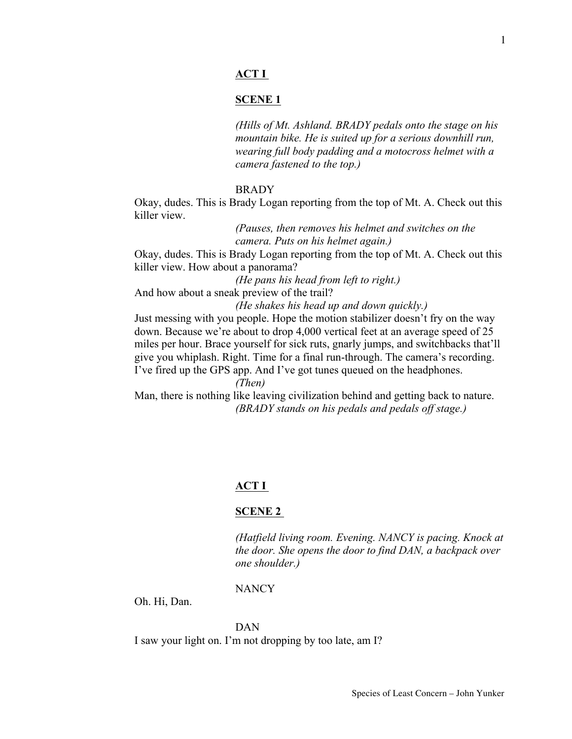# **ACT I**

#### **SCENE 1**

*(Hills of Mt. Ashland. BRADY pedals onto the stage on his mountain bike. He is suited up for a serious downhill run, wearing full body padding and a motocross helmet with a camera fastened to the top.)*

#### BRADY

Okay, dudes. This is Brady Logan reporting from the top of Mt. A. Check out this killer view.

> *(Pauses, then removes his helmet and switches on the camera. Puts on his helmet again.)*

Okay, dudes. This is Brady Logan reporting from the top of Mt. A. Check out this killer view. How about a panorama?

*(He pans his head from left to right.)* And how about a sneak preview of the trail?

*(He shakes his head up and down quickly.)*

Just messing with you people. Hope the motion stabilizer doesn't fry on the way down. Because we're about to drop 4,000 vertical feet at an average speed of 25 miles per hour. Brace yourself for sick ruts, gnarly jumps, and switchbacks that'll give you whiplash. Right. Time for a final run-through. The camera's recording. I've fired up the GPS app. And I've got tunes queued on the headphones.

*(Then)*

Man, there is nothing like leaving civilization behind and getting back to nature. *(BRADY stands on his pedals and pedals off stage.)*

## **ACT I**

## **SCENE 2**

*(Hatfield living room. Evening. NANCY is pacing. Knock at the door. She opens the door to find DAN, a backpack over one shoulder.)*

#### NANCY

Oh. Hi, Dan.

#### DAN

I saw your light on. I'm not dropping by too late, am I?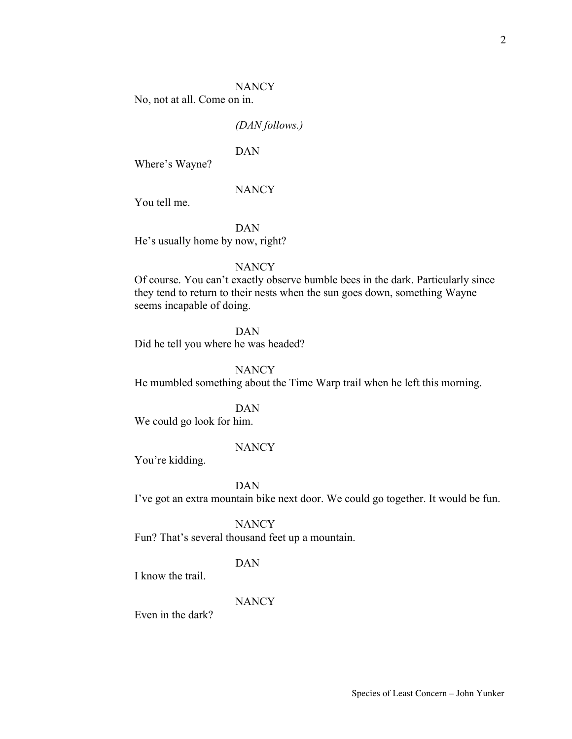#### **NANCY**

No, not at all. Come on in.

#### *(DAN follows.)*

# DAN

Where's Wayne?

#### **NANCY**

You tell me.

DAN

He's usually home by now, right?

## **NANCY**

Of course. You can't exactly observe bumble bees in the dark. Particularly since they tend to return to their nests when the sun goes down, something Wayne seems incapable of doing.

#### DAN

Did he tell you where he was headed?

#### **NANCY**

He mumbled something about the Time Warp trail when he left this morning.

#### DAN

We could go look for him.

## **NANCY**

You're kidding.

DAN

I've got an extra mountain bike next door. We could go together. It would be fun.

**NANCY** 

Fun? That's several thousand feet up a mountain.

## DAN

I know the trail.

# **NANCY**

Even in the dark?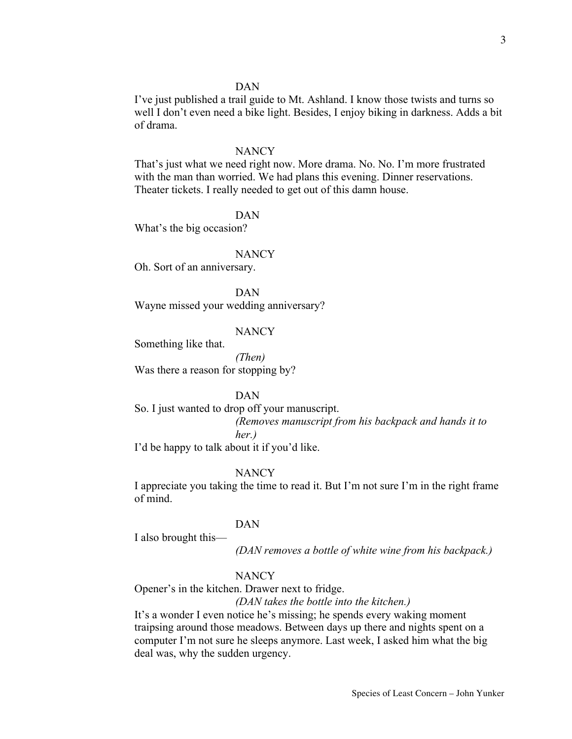I've just published a trail guide to Mt. Ashland. I know those twists and turns so well I don't even need a bike light. Besides, I enjoy biking in darkness. Adds a bit of drama.

#### **NANCY**

That's just what we need right now. More drama. No. No. I'm more frustrated with the man than worried. We had plans this evening. Dinner reservations. Theater tickets. I really needed to get out of this damn house.

#### DAN

What's the big occasion?

#### **NANCY**

Oh. Sort of an anniversary.

DAN Wayne missed your wedding anniversary?

#### NANCY

Something like that.

*(Then)* Was there a reason for stopping by?

#### DAN

So. I just wanted to drop off your manuscript. *(Removes manuscript from his backpack and hands it to her.)*

I'd be happy to talk about it if you'd like.

#### **NANCY**

I appreciate you taking the time to read it. But I'm not sure I'm in the right frame of mind.

#### DAN

I also brought this—

*(DAN removes a bottle of white wine from his backpack.)*

## **NANCY**

Opener's in the kitchen. Drawer next to fridge.

#### *(DAN takes the bottle into the kitchen.)*

It's a wonder I even notice he's missing; he spends every waking moment traipsing around those meadows. Between days up there and nights spent on a computer I'm not sure he sleeps anymore. Last week, I asked him what the big deal was, why the sudden urgency.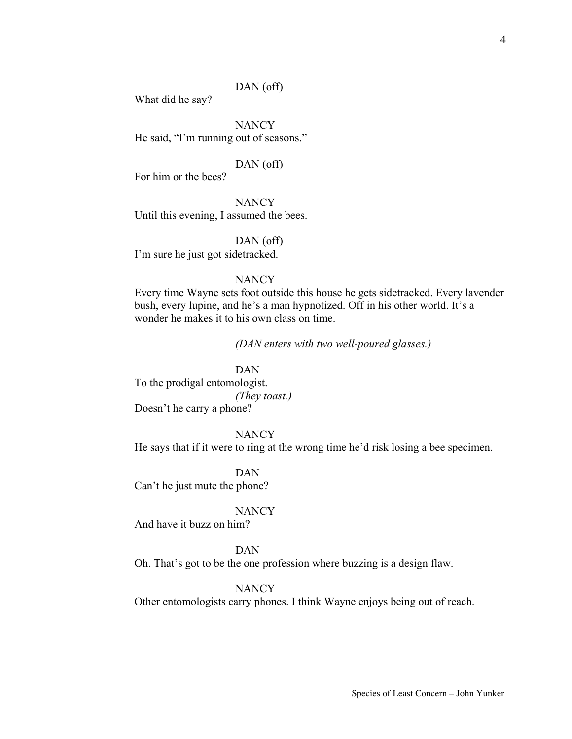## DAN (off)

What did he say?

**NANCY** He said, "I'm running out of seasons."

## DAN (off)

For him or the bees?

**NANCY** Until this evening, I assumed the bees.

DAN (off) I'm sure he just got sidetracked.

## **NANCY**

Every time Wayne sets foot outside this house he gets sidetracked. Every lavender bush, every lupine, and he's a man hypnotized. Off in his other world. It's a wonder he makes it to his own class on time.

*(DAN enters with two well-poured glasses.)*

DAN To the prodigal entomologist. *(They toast.)* Doesn't he carry a phone?

**NANCY** He says that if it were to ring at the wrong time he'd risk losing a bee specimen.

DAN Can't he just mute the phone?

#### **NANCY**

And have it buzz on him?

#### DAN

Oh. That's got to be the one profession where buzzing is a design flaw.

NANCY

Other entomologists carry phones. I think Wayne enjoys being out of reach.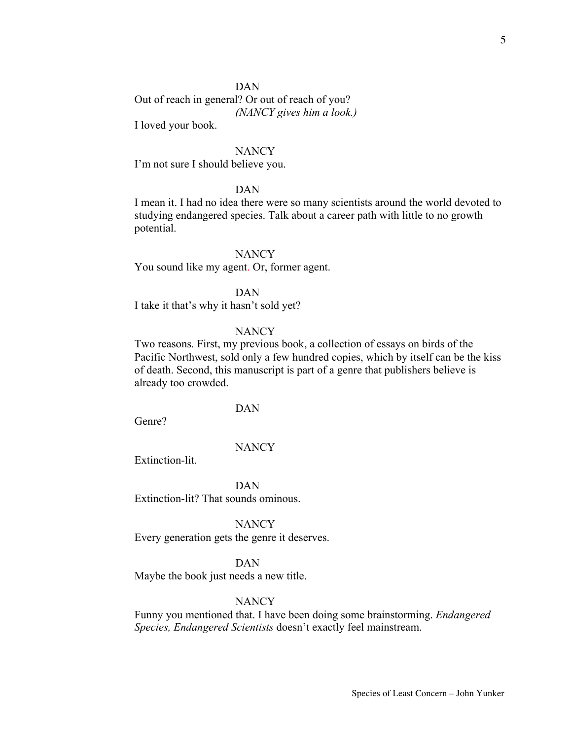Out of reach in general? Or out of reach of you? *(NANCY gives him a look.)*

I loved your book.

## **NANCY**

I'm not sure I should believe you.

## DAN

I mean it. I had no idea there were so many scientists around the world devoted to studying endangered species. Talk about a career path with little to no growth potential.

#### **NANCY**

You sound like my agent. Or, former agent.

DAN

I take it that's why it hasn't sold yet?

#### **NANCY**

Two reasons. First, my previous book, a collection of essays on birds of the Pacific Northwest, sold only a few hundred copies, which by itself can be the kiss of death. Second, this manuscript is part of a genre that publishers believe is already too crowded.

## DAN

Genre?

#### **NANCY**

Extinction-lit.

DAN Extinction-lit? That sounds ominous.

**NANCY** 

Every generation gets the genre it deserves.

DAN

Maybe the book just needs a new title.

# **NANCY**

Funny you mentioned that. I have been doing some brainstorming. *Endangered Species, Endangered Scientists* doesn't exactly feel mainstream.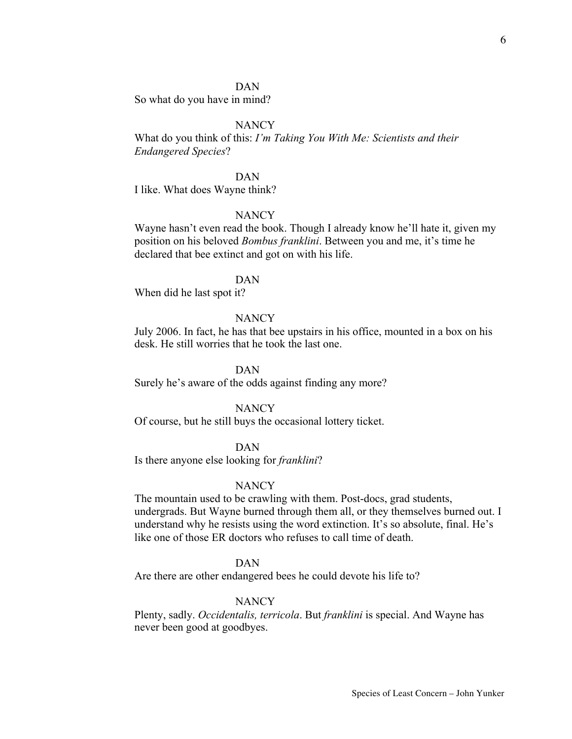So what do you have in mind?

## **NANCY**

What do you think of this: *I'm Taking You With Me: Scientists and their Endangered Species*?

#### DAN

I like. What does Wayne think?

## **NANCY**

Wayne hasn't even read the book. Though I already know he'll hate it, given my position on his beloved *Bombus franklini*. Between you and me, it's time he declared that bee extinct and got on with his life.

## DAN

When did he last spot it?

## **NANCY**

July 2006. In fact, he has that bee upstairs in his office, mounted in a box on his desk. He still worries that he took the last one.

# DAN

Surely he's aware of the odds against finding any more?

#### NANCY

Of course, but he still buys the occasional lottery ticket.

## DAN

Is there anyone else looking for *franklini*?

#### **NANCY**

The mountain used to be crawling with them. Post-docs, grad students, undergrads. But Wayne burned through them all, or they themselves burned out. I understand why he resists using the word extinction. It's so absolute, final. He's like one of those ER doctors who refuses to call time of death.

## DAN

Are there are other endangered bees he could devote his life to?

#### **NANCY**

Plenty, sadly. *Occidentalis, terricola*. But *franklini* is special. And Wayne has never been good at goodbyes.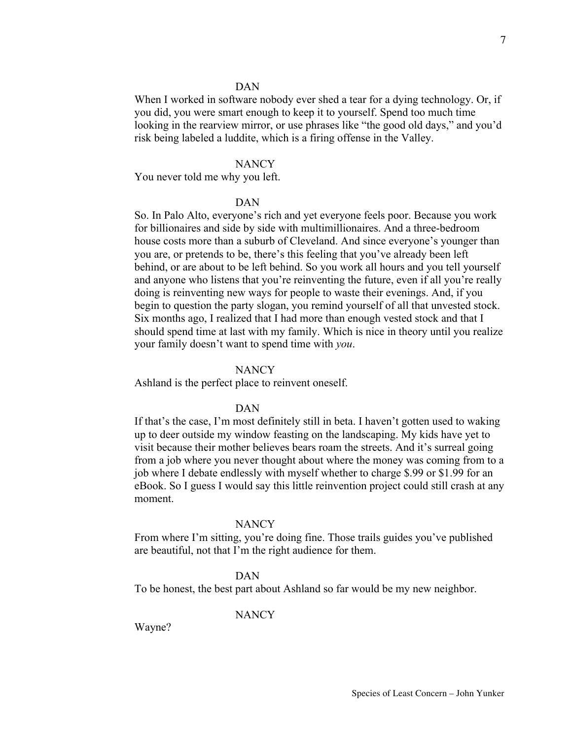When I worked in software nobody ever shed a tear for a dying technology. Or, if you did, you were smart enough to keep it to yourself. Spend too much time looking in the rearview mirror, or use phrases like "the good old days," and you'd risk being labeled a luddite, which is a firing offense in the Valley.

## **NANCY**

You never told me why you left.

#### DAN

So. In Palo Alto, everyone's rich and yet everyone feels poor. Because you work for billionaires and side by side with multimillionaires. And a three-bedroom house costs more than a suburb of Cleveland. And since everyone's younger than you are, or pretends to be, there's this feeling that you've already been left behind, or are about to be left behind. So you work all hours and you tell yourself and anyone who listens that you're reinventing the future, even if all you're really doing is reinventing new ways for people to waste their evenings. And, if you begin to question the party slogan, you remind yourself of all that unvested stock. Six months ago, I realized that I had more than enough vested stock and that I should spend time at last with my family. Which is nice in theory until you realize your family doesn't want to spend time with *you*.

#### **NANCY**

Ashland is the perfect place to reinvent oneself.

#### DAN

If that's the case, I'm most definitely still in beta. I haven't gotten used to waking up to deer outside my window feasting on the landscaping. My kids have yet to visit because their mother believes bears roam the streets. And it's surreal going from a job where you never thought about where the money was coming from to a job where I debate endlessly with myself whether to charge \$.99 or \$1.99 for an eBook. So I guess I would say this little reinvention project could still crash at any moment.

#### **NANCY**

From where I'm sitting, you're doing fine. Those trails guides you've published are beautiful, not that I'm the right audience for them.

## DAN

To be honest, the best part about Ashland so far would be my new neighbor.

#### **NANCY**

Wayne?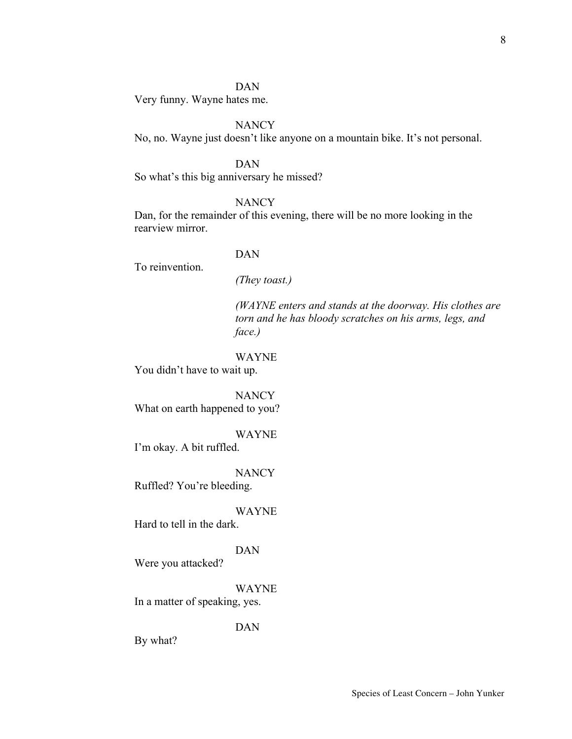Very funny. Wayne hates me.

# **NANCY**

No, no. Wayne just doesn't like anyone on a mountain bike. It's not personal.

#### DAN

So what's this big anniversary he missed?

# **NANCY**

Dan, for the remainder of this evening, there will be no more looking in the rearview mirror.

## DAN

To reinvention.

*(They toast.)*

*(WAYNE enters and stands at the doorway. His clothes are torn and he has bloody scratches on his arms, legs, and face.)*

#### WAYNE

You didn't have to wait up.

**NANCY** What on earth happened to you?

#### WAYNE

I'm okay. A bit ruffled.

**NANCY** 

Ruffled? You're bleeding.

#### WAYNE

Hard to tell in the dark.

#### DAN

WAYNE

Were you attacked?

In a matter of speaking, yes.

## DAN

By what?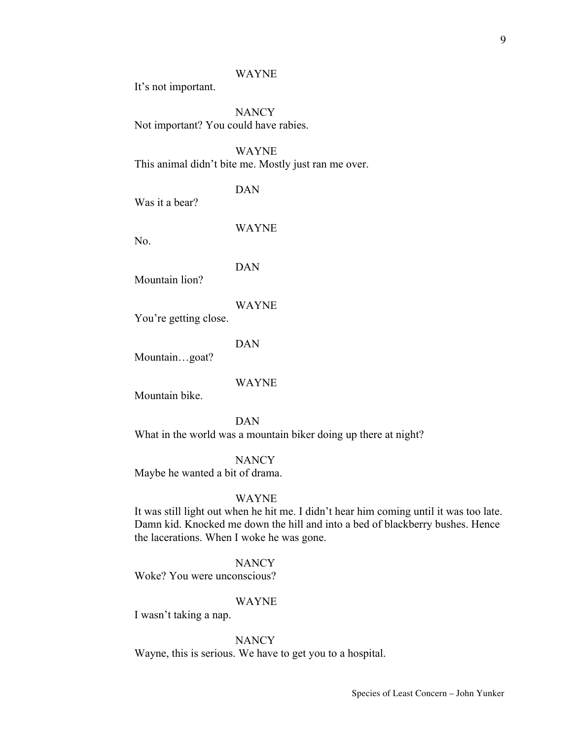#### WAYNE

It's not important.

**NANCY** Not important? You could have rabies.

WAYNE This animal didn't bite me. Mostly just ran me over.

DAN

Was it a bear?

No.

DAN

WAYNE

Mountain lion?

WAYNE

You're getting close.

DAN

Mountain...goat?

WAYNE

Mountain bike.

DAN What in the world was a mountain biker doing up there at night?

**NANCY** Maybe he wanted a bit of drama.

#### WAYNE

It was still light out when he hit me. I didn't hear him coming until it was too late. Damn kid. Knocked me down the hill and into a bed of blackberry bushes. Hence the lacerations. When I woke he was gone.

**NANCY** 

Woke? You were unconscious?

#### WAYNE

I wasn't taking a nap.

#### **NANCY**

Wayne, this is serious. We have to get you to a hospital.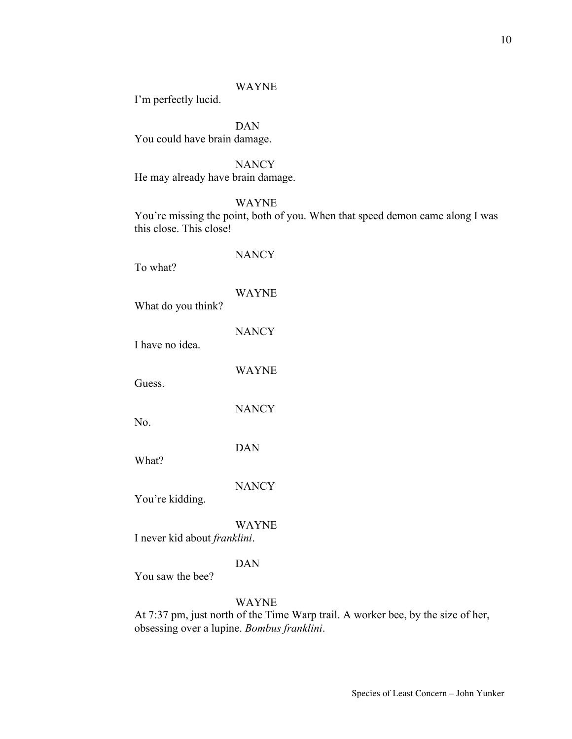#### WAYNE

I'm perfectly lucid.

DAN You could have brain damage.

**NANCY** He may already have brain damage.

WAYNE

You're missing the point, both of you. When that speed demon came along I was this close. This close!

**NANCY** To what? WAYNE What do you think? **NANCY** I have no idea. WAYNE Guess. **NANCY** No. DAN What? **NANCY** You're kidding. WAYNE I never kid about *franklini*. DAN You saw the bee? WAYNE

At 7:37 pm, just north of the Time Warp trail. A worker bee, by the size of her, obsessing over a lupine. *Bombus franklini*.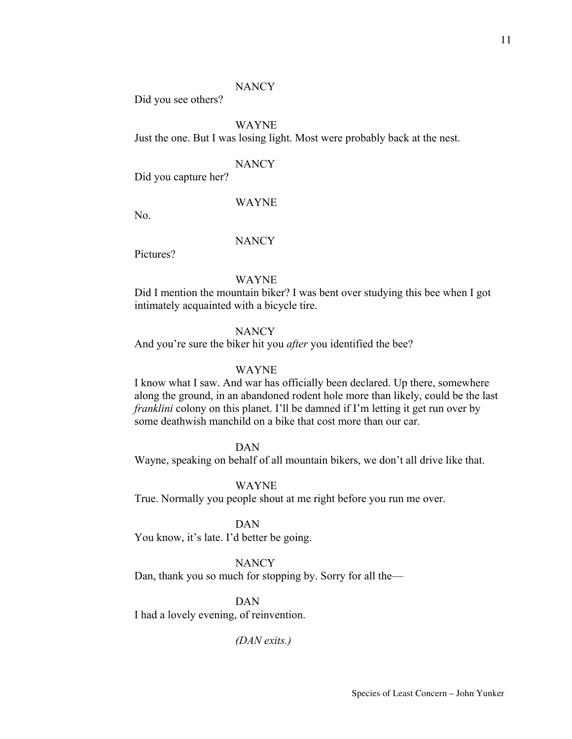#### **NANCY**

Did you see others?

# WAYNE

Just the one. But I was losing light. Most were probably back at the nest.

#### **NANCY**

Did you capture her?

#### WAYNE

No.

# **NANCY**

Pictures?

# WAYNE

Did I mention the mountain biker? I was bent over studying this bee when I got intimately acquainted with a bicycle tire.

#### **NANCY**

And you're sure the biker hit you *after* you identified the bee?

#### WAYNE

I know what I saw. And war has officially been declared. Up there, somewhere along the ground, in an abandoned rodent hole more than likely, could be the last *franklini* colony on this planet. I'll be damned if I'm letting it get run over by some deathwish manchild on a bike that cost more than our car.

# DAN

Wayne, speaking on behalf of all mountain bikers, we don't all drive like that.

#### WAYNE

True. Normally you people shout at me right before you run me over.

#### DAN

You know, it's late. I'd better be going.

## **NANCY**

Dan, thank you so much for stopping by. Sorry for all the—

# DAN

I had a lovely evening, of reinvention.

*(DAN exits.)*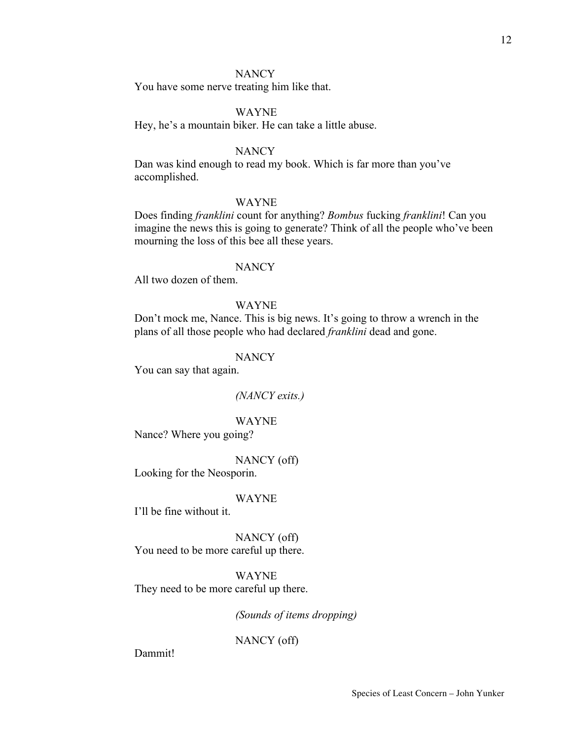## **NANCY**

You have some nerve treating him like that.

## WAYNE

Hey, he's a mountain biker. He can take a little abuse.

## **NANCY**

Dan was kind enough to read my book. Which is far more than you've accomplished.

#### WAYNE

Does finding *franklini* count for anything? *Bombus* fucking *franklini*! Can you imagine the news this is going to generate? Think of all the people who've been mourning the loss of this bee all these years.

## **NANCY**

All two dozen of them.

## WAYNE

Don't mock me, Nance. This is big news. It's going to throw a wrench in the plans of all those people who had declared *franklini* dead and gone.

#### **NANCY**

You can say that again.

#### *(NANCY exits.)*

#### WAYNE

Nance? Where you going?

NANCY (off)

Looking for the Neosporin.

#### WAYNE

I'll be fine without it.

NANCY (off) You need to be more careful up there.

WAYNE They need to be more careful up there.

*(Sounds of items dropping)*

NANCY (off)

Dammit!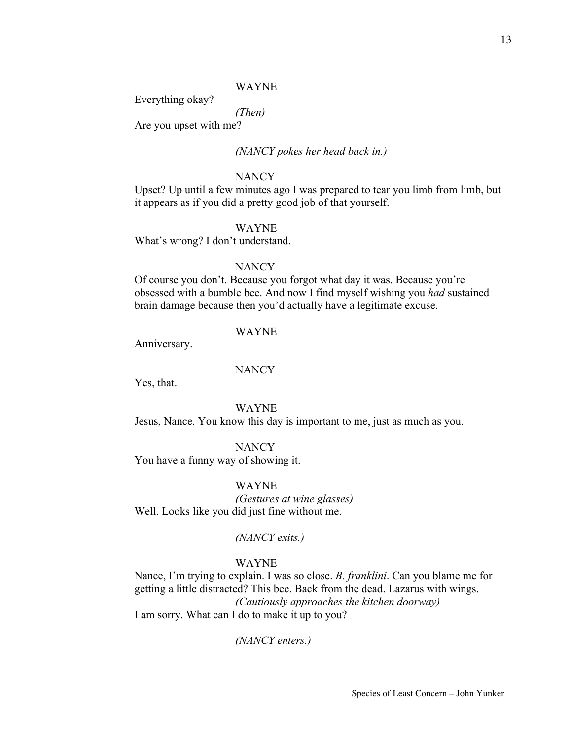#### WAYNE

Everything okay?

*(Then)*

Are you upset with me?

# *(NANCY pokes her head back in.)*

## **NANCY**

Upset? Up until a few minutes ago I was prepared to tear you limb from limb, but it appears as if you did a pretty good job of that yourself.

#### WAYNE

What's wrong? I don't understand.

# **NANCY**

Of course you don't. Because you forgot what day it was. Because you're obsessed with a bumble bee. And now I find myself wishing you *had* sustained brain damage because then you'd actually have a legitimate excuse.

#### WAYNE

Anniversary.

## **NANCY**

Yes, that.

WAYNE

Jesus, Nance. You know this day is important to me, just as much as you.

# **NANCY**

You have a funny way of showing it.

WAYNE

*(Gestures at wine glasses)* Well. Looks like you did just fine without me.

#### *(NANCY exits.)*

## WAYNE

Nance, I'm trying to explain. I was so close. *B. franklini*. Can you blame me for getting a little distracted? This bee. Back from the dead. Lazarus with wings. *(Cautiously approaches the kitchen doorway)* I am sorry. What can I do to make it up to you?

*(NANCY enters.)*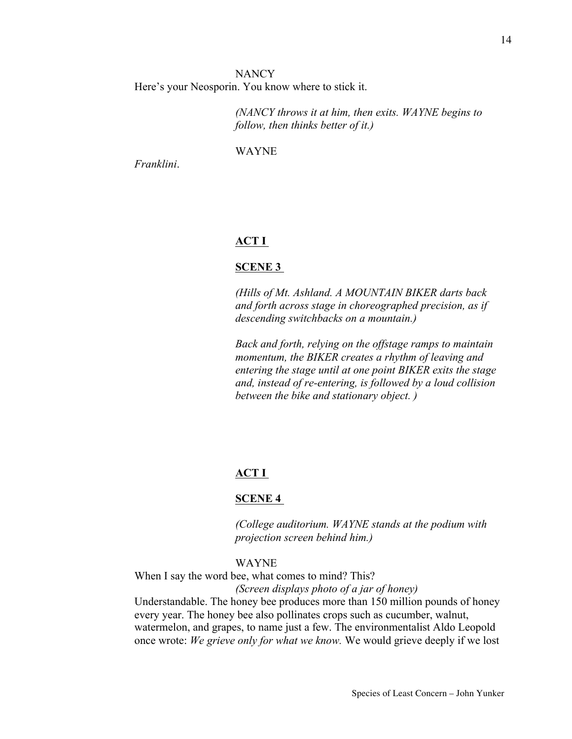**NANCY** Here's your Neosporin. You know where to stick it.

> *(NANCY throws it at him, then exits. WAYNE begins to follow, then thinks better of it.)*

WAYNE

*Franklini*.

# **ACT I**

#### **SCENE 3**

*(Hills of Mt. Ashland. A MOUNTAIN BIKER darts back and forth across stage in choreographed precision, as if descending switchbacks on a mountain.)*

*Back and forth, relying on the offstage ramps to maintain momentum, the BIKER creates a rhythm of leaving and entering the stage until at one point BIKER exits the stage and, instead of re-entering, is followed by a loud collision between the bike and stationary object. )*

## **ACT I**

#### **SCENE 4**

*(College auditorium. WAYNE stands at the podium with projection screen behind him.)* 

## WAYNE

When I say the word bee, what comes to mind? This?

*(Screen displays photo of a jar of honey)*

Understandable. The honey bee produces more than 150 million pounds of honey every year. The honey bee also pollinates crops such as cucumber, walnut, watermelon, and grapes, to name just a few. The environmentalist Aldo Leopold once wrote: *We grieve only for what we know.* We would grieve deeply if we lost